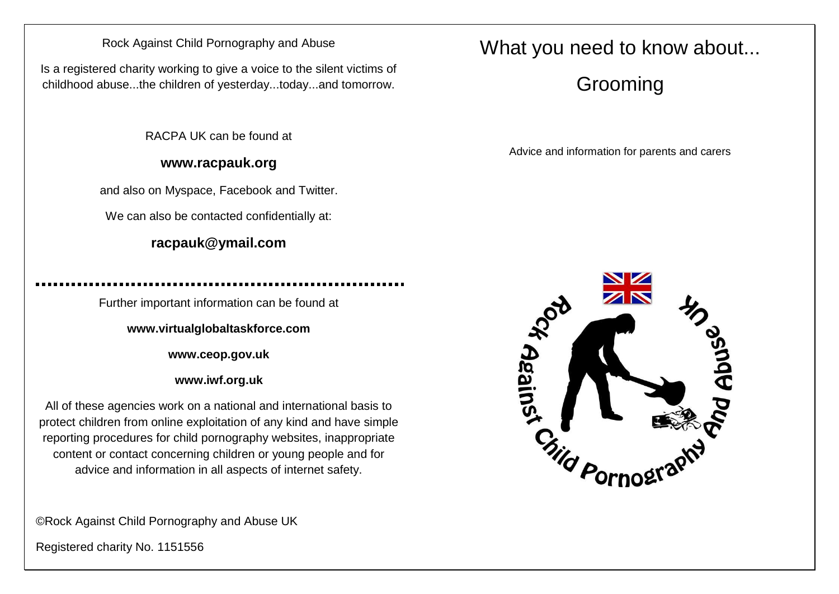#### Rock Against Child Pornography and Abuse

Is a registered charity working to give a voice to the silent victims of childhood abuse...the children of yesterday...today...and tomorrow.

RACPA UK can be found at

#### **www.racpauk.org**

and also on Myspace, Facebook and Twitter.

We can also be contacted confidentially at:

### **racpauk@ymail.com**

Further important information can be found at

**www.virtualglobaltaskforce.com**

**www.ceop.gov.uk**

**www.iwf.org.uk**

All of these agencies work on a national and international basis to protect children from online exploitation of any kind and have simple reporting procedures for child pornography websites, inappropriate content or contact concerning children or young people and for advice and information in all aspects of internet safety.

©Rock Against Child Pornography and Abuse UK

Registered charity No. 1151556

## What you need to know about...

# Grooming

Advice and information for parents and carers